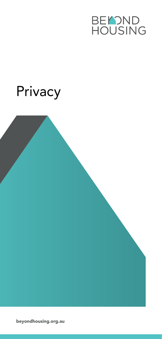

# Privacy

beyondhousing.org.au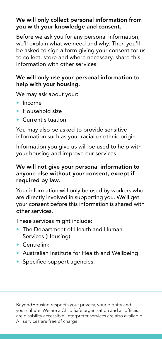### We will only collect personal information from you with your knowledge and consent.

Before we ask you for any personal information, we'll explain what we need and why. Then you'll be asked to sign a form giving your consent for us to collect, store and where necessary, share this information with other services.

#### We will only use your personal information to help with your housing.

We may ask about your:

- Income
- Household size
- Current situation.

You may also be asked to provide sensitive information such as your racial or ethnic origin.

Information you give us will be used to help with your housing and improve our services.

#### We will not give your personal information to anyone else without your consent, except if required by law.

Your information will only be used by workers who are directly involved in supporting you. We'll get your consent before this information is shared with other services.

These services might include:

- The Department of Health and Human Services (Housing)
- Centrelink
- Australian Institute for Health and Wellbeing
- Specified support agencies.

BeyondHousing respects your privacy, your dignity and your culture. We are a Child Safe organisation and all offices are disability accessible. Interpreter services are also available. All services are free of charge.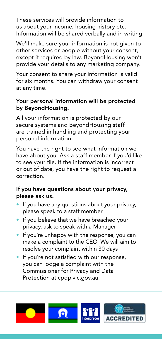These services will provide information to us about your income, housing history etc. Information will be shared verbally and in writing.

We'll make sure your information is not given to other services or people without your consent, except if required by law. BeyondHousing won't provide your details to any marketing company.

Your consent to share your information is valid for six months. You can withdraw your consent at any time.

## Your personal information will be protected by BeyondHousing.

All your information is protected by our secure systems and BeyondHousing staff are trained in handling and protecting your personal information.

You have the right to see what information we have about you. Ask a staff member if you'd like to see your file. If the information is incorrect or out of date, you have the right to request a correction.

# If you have questions about your privacy, please ask us.

- If you have any questions about your privacy, please speak to a staff member
- If you believe that we have breached your privacy, ask to speak with a Manager
- If you're unhappy with the response, you can make a complaint to the CEO. We will aim to resolve your complaint within 30 days
- If you're not satisfied with our response, you can lodge a complaint with the Commissioner for Privacy and Data Protection at cpdp.vic.gov.au.